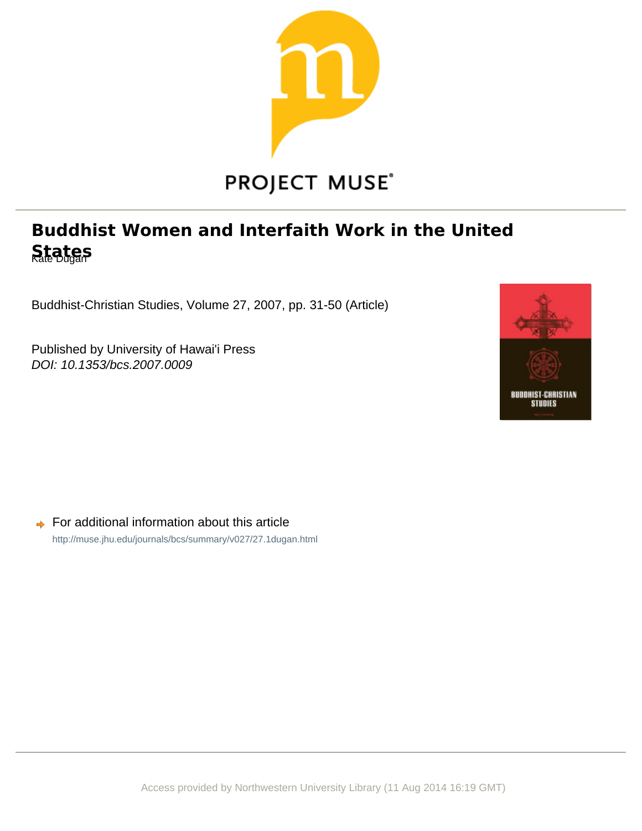

# **PROJECT MUSE®**

## **Buddhist Women and Interfaith Work in the United States**

Buddhist-Christian Studies, Volume 27, 2007, pp. 31-50 (Article)

Published by University of Hawai'i Press DOI: 10.1353/bcs.2007.0009



 $\rightarrow$  For additional information about this article <http://muse.jhu.edu/journals/bcs/summary/v027/27.1dugan.html>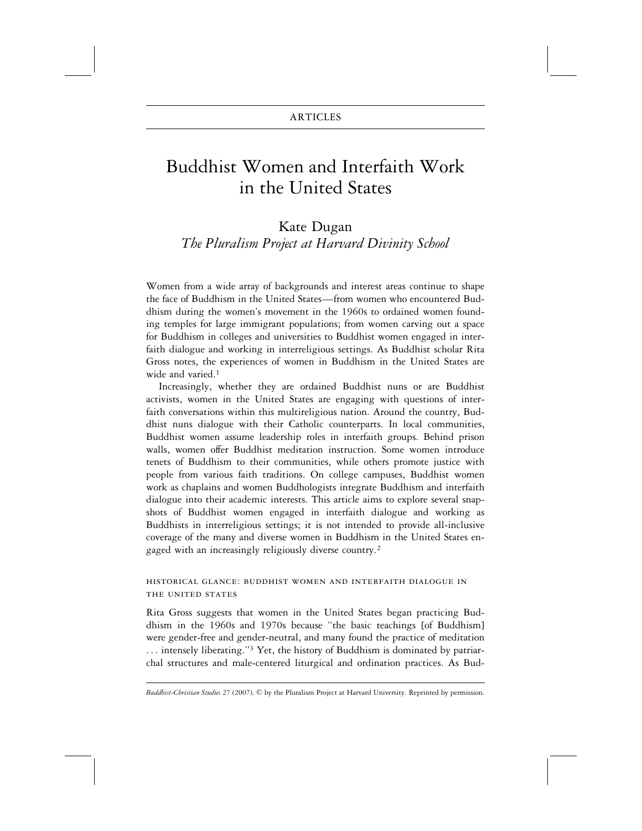## Buddhist Women and Interfaith Work in the United States

## Kate Dugan

The Pluralism Project at Harvard Divinity School

Women from a wide array of backgrounds and interest areas continue to shape the face of Buddhism in the United States—from women who encountered Buddhism during the women's movement in the 1960s to ordained women founding temples for large immigrant populations; from women carving out a space for Buddhism in colleges and universities to Buddhist women engaged in interfaith dialogue and working in interreligious settings. As Buddhist scholar Rita Gross notes, the experiences of women in Buddhism in the United States are wide and varied.<sup>1</sup>

Increasingly, whether they are ordained Buddhist nuns or are Buddhist activists, women in the United States are engaging with questions of interfaith conversations within this multireligious nation. Around the country, Buddhist nuns dialogue with their Catholic counterparts. In local communities, Buddhist women assume leadership roles in interfaith groups. Behind prison walls, women offer Buddhist meditation instruction. Some women introduce tenets of Buddhism to their communities, while others promote justice with people from various faith traditions. On college campuses, Buddhist women work as chaplains and women Buddhologists integrate Buddhism and interfaith dialogue into their academic interests. This article aims to explore several snapshots of Buddhist women engaged in interfaith dialogue and working as Buddhists in interreligious settings; it is not intended to provide all-inclusive coverage of the many and diverse women in Buddhism in the United States engaged with an increasingly religiously diverse country.2

## historical glance: buddhist women and interfaith dialogue in THE UNITED STATES

Rita Gross suggests that women in the United States began practicing Buddhism in the 1960s and 1970s because ''the basic teachings [of Buddhism] were gender-free and gender-neutral, and many found the practice of meditation . . . intensely liberating.''3 Yet, the history of Buddhism is dominated by patriarchal structures and male-centered liturgical and ordination practices. As Bud-

Buddhist-Christian Studies 27 (2007). © by the Pluralism Project at Harvard University. Reprinted by permission.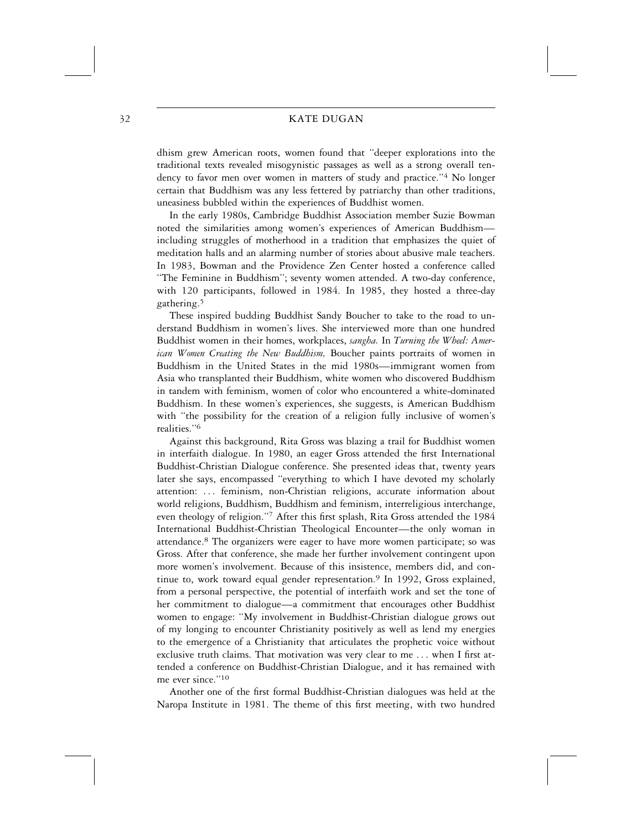dhism grew American roots, women found that ''deeper explorations into the traditional texts revealed misogynistic passages as well as a strong overall tendency to favor men over women in matters of study and practice.''4 No longer certain that Buddhism was any less fettered by patriarchy than other traditions, uneasiness bubbled within the experiences of Buddhist women.

In the early 1980s, Cambridge Buddhist Association member Suzie Bowman noted the similarities among women's experiences of American Buddhism including struggles of motherhood in a tradition that emphasizes the quiet of meditation halls and an alarming number of stories about abusive male teachers. In 1983, Bowman and the Providence Zen Center hosted a conference called ''The Feminine in Buddhism''; seventy women attended. A two-day conference, with 120 participants, followed in 1984. In 1985, they hosted a three-day gathering.5

These inspired budding Buddhist Sandy Boucher to take to the road to understand Buddhism in women's lives. She interviewed more than one hundred Buddhist women in their homes, workplaces, sangha. In Turning the Wheel: American Women Creating the New Buddhism, Boucher paints portraits of women in Buddhism in the United States in the mid 1980s—immigrant women from Asia who transplanted their Buddhism, white women who discovered Buddhism in tandem with feminism, women of color who encountered a white-dominated Buddhism. In these women's experiences, she suggests, is American Buddhism with "the possibility for the creation of a religion fully inclusive of women's realities.''6

Against this background, Rita Gross was blazing a trail for Buddhist women in interfaith dialogue. In 1980, an eager Gross attended the first International Buddhist-Christian Dialogue conference. She presented ideas that, twenty years later she says, encompassed ''everything to which I have devoted my scholarly attention: . . . feminism, non-Christian religions, accurate information about world religions, Buddhism, Buddhism and feminism, interreligious interchange, even theology of religion.''7 After this first splash, Rita Gross attended the 1984 International Buddhist-Christian Theological Encounter—the only woman in attendance.8 The organizers were eager to have more women participate; so was Gross. After that conference, she made her further involvement contingent upon more women's involvement. Because of this insistence, members did, and continue to, work toward equal gender representation.9 In 1992, Gross explained, from a personal perspective, the potential of interfaith work and set the tone of her commitment to dialogue—a commitment that encourages other Buddhist women to engage: ''My involvement in Buddhist-Christian dialogue grows out of my longing to encounter Christianity positively as well as lend my energies to the emergence of a Christianity that articulates the prophetic voice without exclusive truth claims. That motivation was very clear to me . . . when I first attended a conference on Buddhist-Christian Dialogue, and it has remained with me ever since.''10

Another one of the first formal Buddhist-Christian dialogues was held at the Naropa Institute in 1981. The theme of this first meeting, with two hundred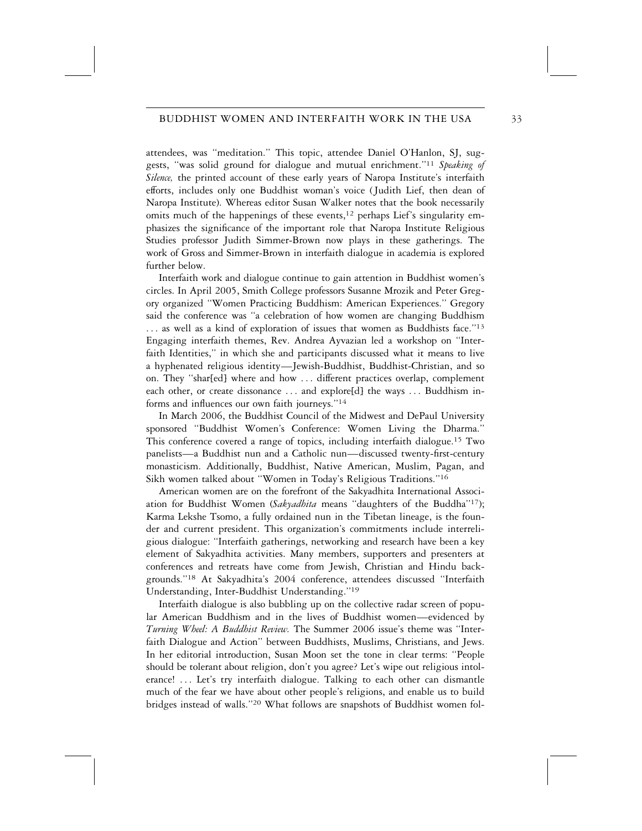attendees, was ''meditation.'' This topic, attendee Daniel O'Hanlon, SJ, suggests, "was solid ground for dialogue and mutual enrichment."<sup>11</sup> Speaking of Silence, the printed account of these early years of Naropa Institute's interfaith efforts, includes only one Buddhist woman's voice ( Judith Lief, then dean of Naropa Institute). Whereas editor Susan Walker notes that the book necessarily omits much of the happenings of these events,  $^{12}$  perhaps Lief's singularity emphasizes the significance of the important role that Naropa Institute Religious Studies professor Judith Simmer-Brown now plays in these gatherings. The work of Gross and Simmer-Brown in interfaith dialogue in academia is explored further below.

Interfaith work and dialogue continue to gain attention in Buddhist women's circles. In April 2005, Smith College professors Susanne Mrozik and Peter Gregory organized ''Women Practicing Buddhism: American Experiences.'' Gregory said the conference was ''a celebration of how women are changing Buddhism . . . as well as a kind of exploration of issues that women as Buddhists face.''13 Engaging interfaith themes, Rev. Andrea Ayvazian led a workshop on ''Interfaith Identities,'' in which she and participants discussed what it means to live a hyphenated religious identity—Jewish-Buddhist, Buddhist-Christian, and so on. They ''shar[ed] where and how . . . different practices overlap, complement each other, or create dissonance . . . and explore[d] the ways . . . Buddhism informs and influences our own faith journeys.''14

In March 2006, the Buddhist Council of the Midwest and DePaul University sponsored ''Buddhist Women's Conference: Women Living the Dharma.'' This conference covered a range of topics, including interfaith dialogue.15 Two panelists—a Buddhist nun and a Catholic nun—discussed twenty-first-century monasticism. Additionally, Buddhist, Native American, Muslim, Pagan, and Sikh women talked about ''Women in Today's Religious Traditions.''16

American women are on the forefront of the Sakyadhita International Association for Buddhist Women (Sakyadhita means "daughters of the Buddha"17); Karma Lekshe Tsomo, a fully ordained nun in the Tibetan lineage, is the founder and current president. This organization's commitments include interreligious dialogue: ''Interfaith gatherings, networking and research have been a key element of Sakyadhita activities. Many members, supporters and presenters at conferences and retreats have come from Jewish, Christian and Hindu backgrounds.''18 At Sakyadhita's 2004 conference, attendees discussed ''Interfaith Understanding, Inter-Buddhist Understanding.''19

Interfaith dialogue is also bubbling up on the collective radar screen of popular American Buddhism and in the lives of Buddhist women—evidenced by Turning Wheel: A Buddhist Review. The Summer 2006 issue's theme was ''Interfaith Dialogue and Action'' between Buddhists, Muslims, Christians, and Jews. In her editorial introduction, Susan Moon set the tone in clear terms: ''People should be tolerant about religion, don't you agree? Let's wipe out religious intolerance! . . . Let's try interfaith dialogue. Talking to each other can dismantle much of the fear we have about other people's religions, and enable us to build bridges instead of walls.''20 What follows are snapshots of Buddhist women fol-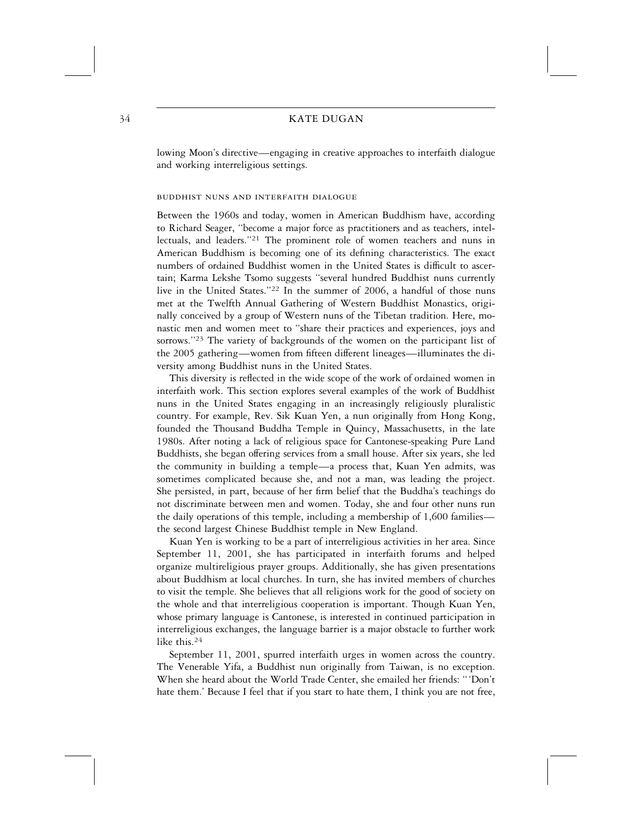lowing Moon's directive—engaging in creative approaches to interfaith dialogue and working interreligious settings.

#### buddhist nuns and interfaith dialogue

Between the 1960s and today, women in American Buddhism have, according to Richard Seager, ''become a major force as practitioners and as teachers, intellectuals, and leaders.''21 The prominent role of women teachers and nuns in American Buddhism is becoming one of its defining characteristics. The exact numbers of ordained Buddhist women in the United States is difficult to ascertain; Karma Lekshe Tsomo suggests ''several hundred Buddhist nuns currently live in the United States.''22 In the summer of 2006, a handful of those nuns met at the Twelfth Annual Gathering of Western Buddhist Monastics, originally conceived by a group of Western nuns of the Tibetan tradition. Here, monastic men and women meet to ''share their practices and experiences, joys and sorrows.''23 The variety of backgrounds of the women on the participant list of the 2005 gathering—women from fifteen different lineages—illuminates the diversity among Buddhist nuns in the United States.

This diversity is reflected in the wide scope of the work of ordained women in interfaith work. This section explores several examples of the work of Buddhist nuns in the United States engaging in an increasingly religiously pluralistic country. For example, Rev. Sik Kuan Yen, a nun originally from Hong Kong, founded the Thousand Buddha Temple in Quincy, Massachusetts, in the late 1980s. After noting a lack of religious space for Cantonese-speaking Pure Land Buddhists, she began offering services from a small house. After six years, she led the community in building a temple—a process that, Kuan Yen admits, was sometimes complicated because she, and not a man, was leading the project. She persisted, in part, because of her firm belief that the Buddha's teachings do not discriminate between men and women. Today, she and four other nuns run the daily operations of this temple, including a membership of 1,600 families the second largest Chinese Buddhist temple in New England.

Kuan Yen is working to be a part of interreligious activities in her area. Since September 11, 2001, she has participated in interfaith forums and helped organize multireligious prayer groups. Additionally, she has given presentations about Buddhism at local churches. In turn, she has invited members of churches to visit the temple. She believes that all religions work for the good of society on the whole and that interreligious cooperation is important. Though Kuan Yen, whose primary language is Cantonese, is interested in continued participation in interreligious exchanges, the language barrier is a major obstacle to further work like this.24

September 11, 2001, spurred interfaith urges in women across the country. The Venerable Yifa, a Buddhist nun originally from Taiwan, is no exception. When she heard about the World Trade Center, she emailed her friends: '''Don't hate them.' Because I feel that if you start to hate them, I think you are not free,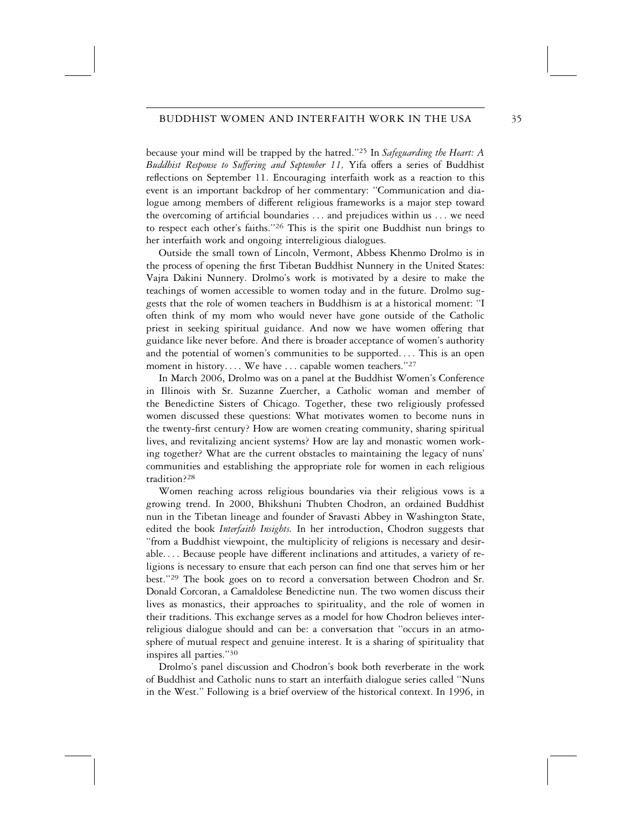because your mind will be trapped by the hatred."<sup>25</sup> In Safeguarding the Heart: A Buddhist Response to Suffering and September 11, Yifa offers a series of Buddhist reflections on September 11. Encouraging interfaith work as a reaction to this event is an important backdrop of her commentary: ''Communication and dialogue among members of different religious frameworks is a major step toward the overcoming of artificial boundaries . . . and prejudices within us . . . we need to respect each other's faiths.''26 This is the spirit one Buddhist nun brings to her interfaith work and ongoing interreligious dialogues.

Outside the small town of Lincoln, Vermont, Abbess Khenmo Drolmo is in the process of opening the first Tibetan Buddhist Nunnery in the United States: Vajra Dakini Nunnery. Drolmo's work is motivated by a desire to make the teachings of women accessible to women today and in the future. Drolmo suggests that the role of women teachers in Buddhism is at a historical moment: ''I often think of my mom who would never have gone outside of the Catholic priest in seeking spiritual guidance. And now we have women offering that guidance like never before. And there is broader acceptance of women's authority and the potential of women's communities to be supported. . . . This is an open moment in history.... We have ... capable women teachers."27

In March 2006, Drolmo was on a panel at the Buddhist Women's Conference in Illinois with Sr. Suzanne Zuercher, a Catholic woman and member of the Benedictine Sisters of Chicago. Together, these two religiously professed women discussed these questions: What motivates women to become nuns in the twenty-first century? How are women creating community, sharing spiritual lives, and revitalizing ancient systems? How are lay and monastic women working together? What are the current obstacles to maintaining the legacy of nuns' communities and establishing the appropriate role for women in each religious tradition?28

Women reaching across religious boundaries via their religious vows is a growing trend. In 2000, Bhikshuni Thubten Chodron, an ordained Buddhist nun in the Tibetan lineage and founder of Sravasti Abbey in Washington State, edited the book *Interfaith Insights*. In her introduction, Chodron suggests that ''from a Buddhist viewpoint, the multiplicity of religions is necessary and desirable. . . . Because people have different inclinations and attitudes, a variety of religions is necessary to ensure that each person can find one that serves him or her best.''29 The book goes on to record a conversation between Chodron and Sr. Donald Corcoran, a Camaldolese Benedictine nun. The two women discuss their lives as monastics, their approaches to spirituality, and the role of women in their traditions. This exchange serves as a model for how Chodron believes interreligious dialogue should and can be: a conversation that ''occurs in an atmosphere of mutual respect and genuine interest. It is a sharing of spirituality that inspires all parties.''30

Drolmo's panel discussion and Chodron's book both reverberate in the work of Buddhist and Catholic nuns to start an interfaith dialogue series called ''Nuns in the West.'' Following is a brief overview of the historical context. In 1996, in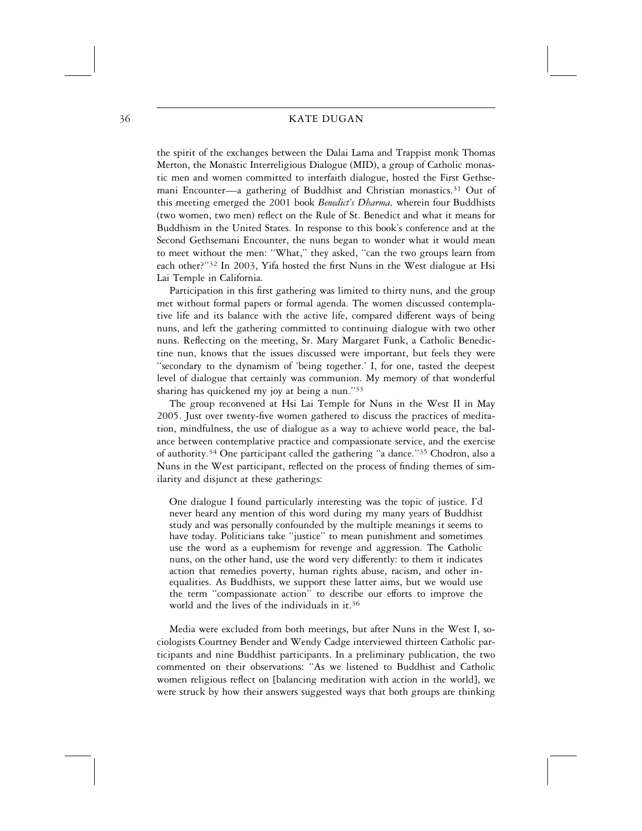the spirit of the exchanges between the Dalai Lama and Trappist monk Thomas Merton, the Monastic Interreligious Dialogue (MID), a group of Catholic monastic men and women committed to interfaith dialogue, hosted the First Gethsemani Encounter—a gathering of Buddhist and Christian monastics.<sup>31</sup> Out of this meeting emerged the 2001 book *Benedict's Dharma*, wherein four Buddhists (two women, two men) reflect on the Rule of St. Benedict and what it means for Buddhism in the United States. In response to this book's conference and at the Second Gethsemani Encounter, the nuns began to wonder what it would mean to meet without the men: ''What,'' they asked, ''can the two groups learn from each other?"<sup>32</sup> In 2003, Yifa hosted the first Nuns in the West dialogue at Hsi Lai Temple in California.

Participation in this first gathering was limited to thirty nuns, and the group met without formal papers or formal agenda. The women discussed contemplative life and its balance with the active life, compared different ways of being nuns, and left the gathering committed to continuing dialogue with two other nuns. Reflecting on the meeting, Sr. Mary Margaret Funk, a Catholic Benedictine nun, knows that the issues discussed were important, but feels they were ''secondary to the dynamism of 'being together.' I, for one, tasted the deepest level of dialogue that certainly was communion. My memory of that wonderful sharing has quickened my joy at being a nun."<sup>33</sup>

The group reconvened at Hsi Lai Temple for Nuns in the West II in May 2005. Just over twenty-five women gathered to discuss the practices of meditation, mindfulness, the use of dialogue as a way to achieve world peace, the balance between contemplative practice and compassionate service, and the exercise of authority.34 One participant called the gathering ''a dance.''35 Chodron, also a Nuns in the West participant, reflected on the process of finding themes of similarity and disjunct at these gatherings:

One dialogue I found particularly interesting was the topic of justice. I'd never heard any mention of this word during my many years of Buddhist study and was personally confounded by the multiple meanings it seems to have today. Politicians take ''justice'' to mean punishment and sometimes use the word as a euphemism for revenge and aggression. The Catholic nuns, on the other hand, use the word very differently: to them it indicates action that remedies poverty, human rights abuse, racism, and other inequalities. As Buddhists, we support these latter aims, but we would use the term ''compassionate action'' to describe our efforts to improve the world and the lives of the individuals in it.36

Media were excluded from both meetings, but after Nuns in the West I, sociologists Courtney Bender and Wendy Cadge interviewed thirteen Catholic participants and nine Buddhist participants. In a preliminary publication, the two commented on their observations: ''As we listened to Buddhist and Catholic women religious reflect on [balancing meditation with action in the world], we were struck by how their answers suggested ways that both groups are thinking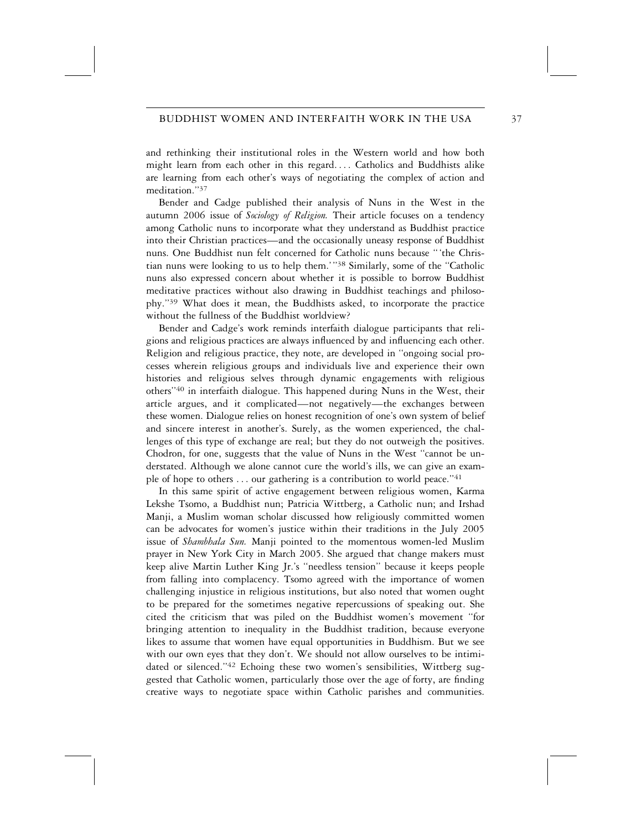and rethinking their institutional roles in the Western world and how both might learn from each other in this regard.... Catholics and Buddhists alike are learning from each other's ways of negotiating the complex of action and meditation.''37

Bender and Cadge published their analysis of Nuns in the West in the autumn 2006 issue of Sociology of Religion. Their article focuses on a tendency among Catholic nuns to incorporate what they understand as Buddhist practice into their Christian practices—and the occasionally uneasy response of Buddhist nuns. One Buddhist nun felt concerned for Catholic nuns because '' 'the Christian nuns were looking to us to help them.'''38 Similarly, some of the ''Catholic nuns also expressed concern about whether it is possible to borrow Buddhist meditative practices without also drawing in Buddhist teachings and philosophy.''39 What does it mean, the Buddhists asked, to incorporate the practice without the fullness of the Buddhist worldview?

Bender and Cadge's work reminds interfaith dialogue participants that religions and religious practices are always influenced by and influencing each other. Religion and religious practice, they note, are developed in ''ongoing social processes wherein religious groups and individuals live and experience their own histories and religious selves through dynamic engagements with religious others''40 in interfaith dialogue. This happened during Nuns in the West, their article argues, and it complicated—not negatively—the exchanges between these women. Dialogue relies on honest recognition of one's own system of belief and sincere interest in another's. Surely, as the women experienced, the challenges of this type of exchange are real; but they do not outweigh the positives. Chodron, for one, suggests that the value of Nuns in the West ''cannot be understated. Although we alone cannot cure the world's ills, we can give an example of hope to others ... our gathering is a contribution to world peace."41

In this same spirit of active engagement between religious women, Karma Lekshe Tsomo, a Buddhist nun; Patricia Wittberg, a Catholic nun; and Irshad Manji, a Muslim woman scholar discussed how religiously committed women can be advocates for women's justice within their traditions in the July 2005 issue of *Shambhala Sun*. Manji pointed to the momentous women-led Muslim prayer in New York City in March 2005. She argued that change makers must keep alive Martin Luther King Jr.'s ''needless tension'' because it keeps people from falling into complacency. Tsomo agreed with the importance of women challenging injustice in religious institutions, but also noted that women ought to be prepared for the sometimes negative repercussions of speaking out. She cited the criticism that was piled on the Buddhist women's movement ''for bringing attention to inequality in the Buddhist tradition, because everyone likes to assume that women have equal opportunities in Buddhism. But we see with our own eyes that they don't. We should not allow ourselves to be intimidated or silenced."<sup>42</sup> Echoing these two women's sensibilities, Wittberg suggested that Catholic women, particularly those over the age of forty, are finding creative ways to negotiate space within Catholic parishes and communities.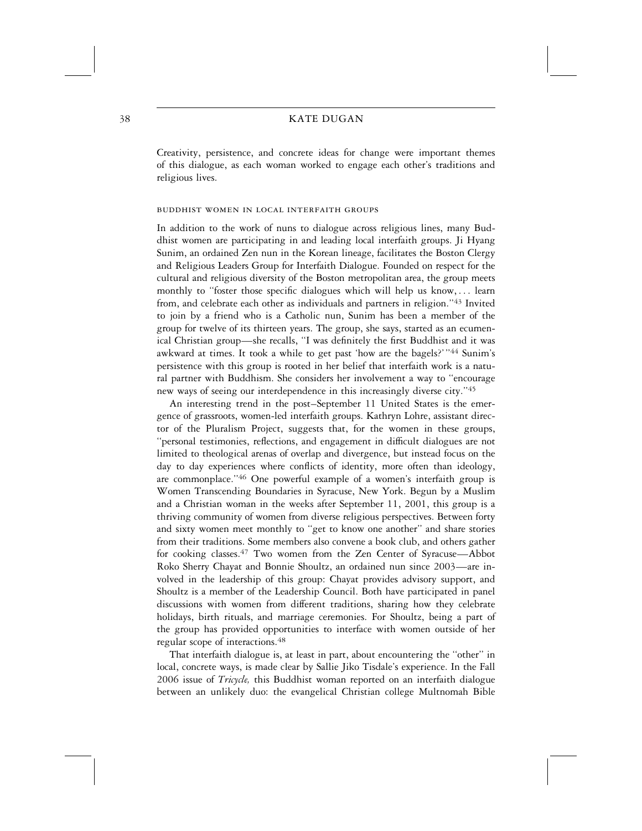Creativity, persistence, and concrete ideas for change were important themes of this dialogue, as each woman worked to engage each other's traditions and religious lives.

#### buddhist women in local interfaith groups

In addition to the work of nuns to dialogue across religious lines, many Buddhist women are participating in and leading local interfaith groups. Ji Hyang Sunim, an ordained Zen nun in the Korean lineage, facilitates the Boston Clergy and Religious Leaders Group for Interfaith Dialogue. Founded on respect for the cultural and religious diversity of the Boston metropolitan area, the group meets monthly to "foster those specific dialogues which will help us know,... learn from, and celebrate each other as individuals and partners in religion.''43 Invited to join by a friend who is a Catholic nun, Sunim has been a member of the group for twelve of its thirteen years. The group, she says, started as an ecumenical Christian group—she recalls, ''I was definitely the first Buddhist and it was awkward at times. It took a while to get past 'how are the bagels?'"44 Sunim's persistence with this group is rooted in her belief that interfaith work is a natural partner with Buddhism. She considers her involvement a way to ''encourage new ways of seeing our interdependence in this increasingly diverse city.''45

An interesting trend in the post–September 11 United States is the emergence of grassroots, women-led interfaith groups. Kathryn Lohre, assistant director of the Pluralism Project, suggests that, for the women in these groups, ''personal testimonies, reflections, and engagement in difficult dialogues are not limited to theological arenas of overlap and divergence, but instead focus on the day to day experiences where conflicts of identity, more often than ideology, are commonplace."46 One powerful example of a women's interfaith group is Women Transcending Boundaries in Syracuse, New York. Begun by a Muslim and a Christian woman in the weeks after September 11, 2001, this group is a thriving community of women from diverse religious perspectives. Between forty and sixty women meet monthly to ''get to know one another'' and share stories from their traditions. Some members also convene a book club, and others gather for cooking classes.47 Two women from the Zen Center of Syracuse—Abbot Roko Sherry Chayat and Bonnie Shoultz, an ordained nun since 2003—are involved in the leadership of this group: Chayat provides advisory support, and Shoultz is a member of the Leadership Council. Both have participated in panel discussions with women from different traditions, sharing how they celebrate holidays, birth rituals, and marriage ceremonies. For Shoultz, being a part of the group has provided opportunities to interface with women outside of her regular scope of interactions.48

That interfaith dialogue is, at least in part, about encountering the ''other'' in local, concrete ways, is made clear by Sallie Jiko Tisdale's experience. In the Fall 2006 issue of *Tricycle*, this Buddhist woman reported on an interfaith dialogue between an unlikely duo: the evangelical Christian college Multnomah Bible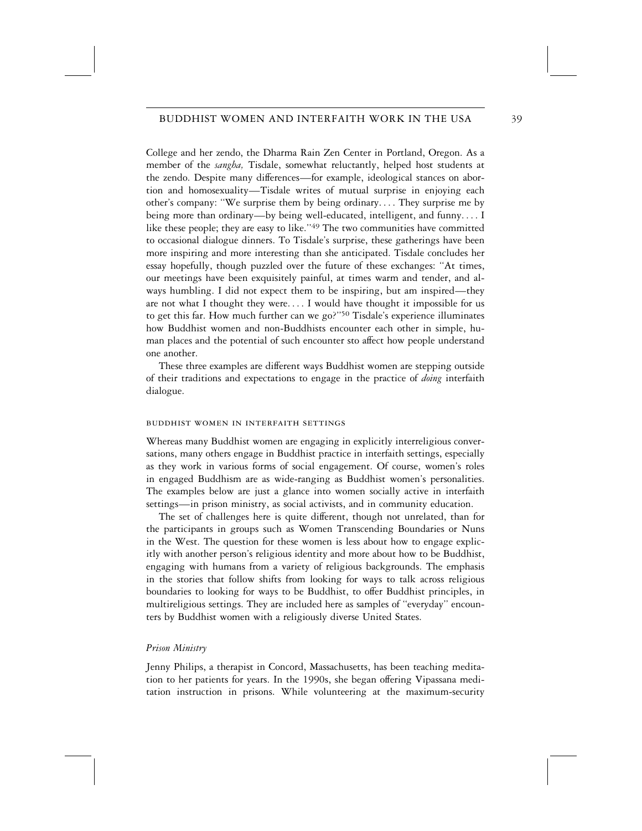College and her zendo, the Dharma Rain Zen Center in Portland, Oregon. As a member of the sangha, Tisdale, somewhat reluctantly, helped host students at the zendo. Despite many differences—for example, ideological stances on abortion and homosexuality—Tisdale writes of mutual surprise in enjoying each other's company: ''We surprise them by being ordinary. . . . They surprise me by being more than ordinary—by being well-educated, intelligent, and funny. . . . I like these people; they are easy to like.''49 The two communities have committed to occasional dialogue dinners. To Tisdale's surprise, these gatherings have been more inspiring and more interesting than she anticipated. Tisdale concludes her essay hopefully, though puzzled over the future of these exchanges: ''At times, our meetings have been exquisitely painful, at times warm and tender, and always humbling. I did not expect them to be inspiring, but am inspired—they are not what I thought they were.... I would have thought it impossible for us to get this far. How much further can we go?''50 Tisdale's experience illuminates how Buddhist women and non-Buddhists encounter each other in simple, human places and the potential of such encounter sto affect how people understand one another.

These three examples are different ways Buddhist women are stepping outside of their traditions and expectations to engage in the practice of *doing* interfaith dialogue.

#### buddhist women in interfaith settings

Whereas many Buddhist women are engaging in explicitly interreligious conversations, many others engage in Buddhist practice in interfaith settings, especially as they work in various forms of social engagement. Of course, women's roles in engaged Buddhism are as wide-ranging as Buddhist women's personalities. The examples below are just a glance into women socially active in interfaith settings—in prison ministry, as social activists, and in community education.

The set of challenges here is quite different, though not unrelated, than for the participants in groups such as Women Transcending Boundaries or Nuns in the West. The question for these women is less about how to engage explicitly with another person's religious identity and more about how to be Buddhist, engaging with humans from a variety of religious backgrounds. The emphasis in the stories that follow shifts from looking for ways to talk across religious boundaries to looking for ways to be Buddhist, to offer Buddhist principles, in multireligious settings. They are included here as samples of ''everyday'' encounters by Buddhist women with a religiously diverse United States.

#### Prison Ministry

Jenny Philips, a therapist in Concord, Massachusetts, has been teaching meditation to her patients for years. In the 1990s, she began offering Vipassana meditation instruction in prisons. While volunteering at the maximum-security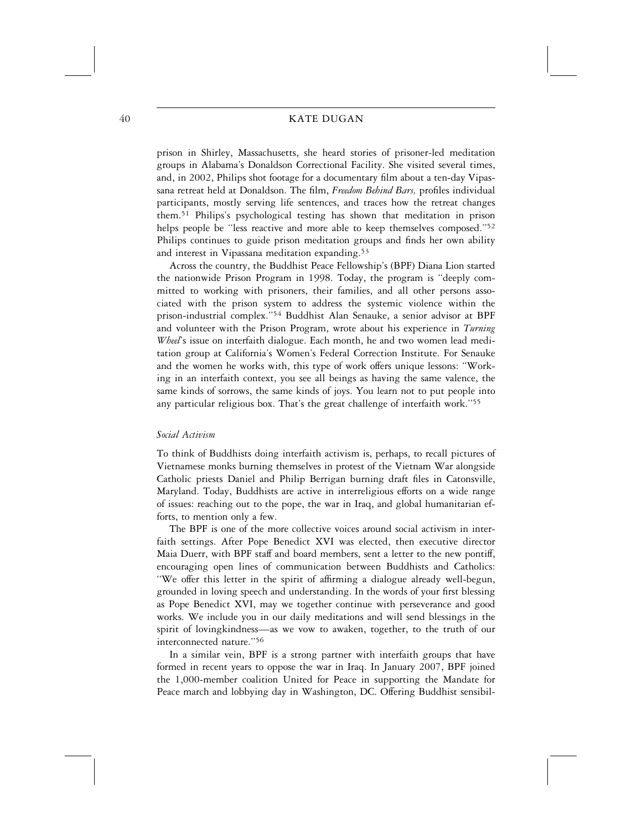prison in Shirley, Massachusetts, she heard stories of prisoner-led meditation groups in Alabama's Donaldson Correctional Facility. She visited several times, and, in 2002, Philips shot footage for a documentary film about a ten-day Vipassana retreat held at Donaldson. The film, Freedom Behind Bars, profiles individual participants, mostly serving life sentences, and traces how the retreat changes them.51 Philips's psychological testing has shown that meditation in prison helps people be "less reactive and more able to keep themselves composed."<sup>52</sup> Philips continues to guide prison meditation groups and finds her own ability and interest in Vipassana meditation expanding.<sup>53</sup>

Across the country, the Buddhist Peace Fellowship's (BPF) Diana Lion started the nationwide Prison Program in 1998. Today, the program is ''deeply committed to working with prisoners, their families, and all other persons associated with the prison system to address the systemic violence within the prison-industrial complex.''54 Buddhist Alan Senauke, a senior advisor at BPF and volunteer with the Prison Program, wrote about his experience in Turning Wheel's issue on interfaith dialogue. Each month, he and two women lead meditation group at California's Women's Federal Correction Institute. For Senauke and the women he works with, this type of work offers unique lessons: ''Working in an interfaith context, you see all beings as having the same valence, the same kinds of sorrows, the same kinds of joys. You learn not to put people into any particular religious box. That's the great challenge of interfaith work.''55

#### Social Activism

To think of Buddhists doing interfaith activism is, perhaps, to recall pictures of Vietnamese monks burning themselves in protest of the Vietnam War alongside Catholic priests Daniel and Philip Berrigan burning draft files in Catonsville, Maryland. Today, Buddhists are active in interreligious efforts on a wide range of issues: reaching out to the pope, the war in Iraq, and global humanitarian efforts, to mention only a few.

The BPF is one of the more collective voices around social activism in interfaith settings. After Pope Benedict XVI was elected, then executive director Maia Duerr, with BPF staff and board members, sent a letter to the new pontiff, encouraging open lines of communication between Buddhists and Catholics: ''We offer this letter in the spirit of affirming a dialogue already well-begun, grounded in loving speech and understanding. In the words of your first blessing as Pope Benedict XVI, may we together continue with perseverance and good works. We include you in our daily meditations and will send blessings in the spirit of lovingkindness—as we vow to awaken, together, to the truth of our interconnected nature.''56

In a similar vein, BPF is a strong partner with interfaith groups that have formed in recent years to oppose the war in Iraq. In January 2007, BPF joined the 1,000-member coalition United for Peace in supporting the Mandate for Peace march and lobbying day in Washington, DC. Offering Buddhist sensibil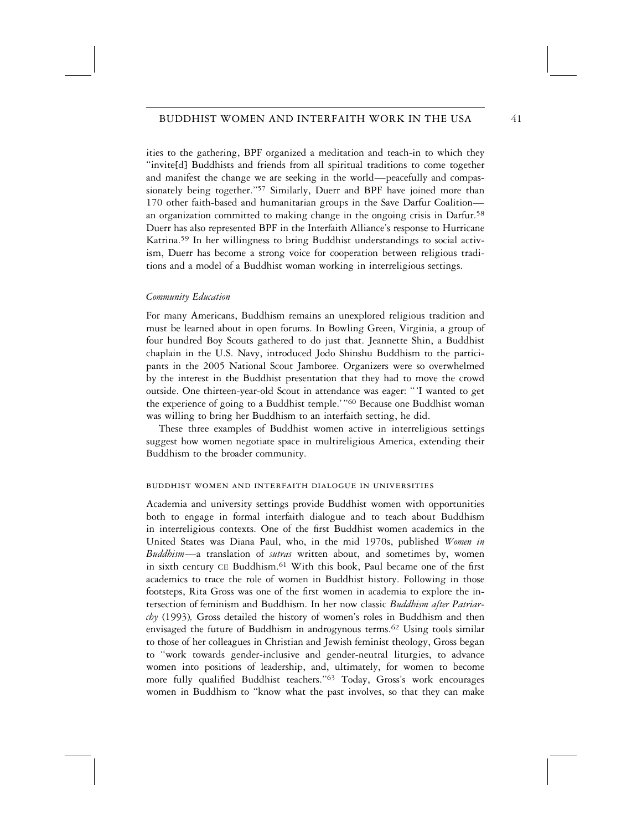ities to the gathering, BPF organized a meditation and teach-in to which they ''invite[d] Buddhists and friends from all spiritual traditions to come together and manifest the change we are seeking in the world—peacefully and compassionately being together."<sup>57</sup> Similarly, Duerr and BPF have joined more than 170 other faith-based and humanitarian groups in the Save Darfur Coalition an organization committed to making change in the ongoing crisis in Darfur.58 Duerr has also represented BPF in the Interfaith Alliance's response to Hurricane Katrina.59 In her willingness to bring Buddhist understandings to social activism, Duerr has become a strong voice for cooperation between religious traditions and a model of a Buddhist woman working in interreligious settings.

#### Community Education

For many Americans, Buddhism remains an unexplored religious tradition and must be learned about in open forums. In Bowling Green, Virginia, a group of four hundred Boy Scouts gathered to do just that. Jeannette Shin, a Buddhist chaplain in the U.S. Navy, introduced Jodo Shinshu Buddhism to the participants in the 2005 National Scout Jamboree. Organizers were so overwhelmed by the interest in the Buddhist presentation that they had to move the crowd outside. One thirteen-year-old Scout in attendance was eager: '' 'I wanted to get the experience of going to a Buddhist temple.''<sup>60</sup> Because one Buddhist woman was willing to bring her Buddhism to an interfaith setting, he did.

These three examples of Buddhist women active in interreligious settings suggest how women negotiate space in multireligious America, extending their Buddhism to the broader community.

#### buddhist women and interfaith dialogue in universities

Academia and university settings provide Buddhist women with opportunities both to engage in formal interfaith dialogue and to teach about Buddhism in interreligious contexts. One of the first Buddhist women academics in the United States was Diana Paul, who, in the mid 1970s, published Women in Buddhism—a translation of sutras written about, and sometimes by, women in sixth century CE Buddhism.<sup>61</sup> With this book, Paul became one of the first academics to trace the role of women in Buddhist history. Following in those footsteps, Rita Gross was one of the first women in academia to explore the intersection of feminism and Buddhism. In her now classic Buddhism after Patriarchy (1993), Gross detailed the history of women's roles in Buddhism and then envisaged the future of Buddhism in androgynous terms.62 Using tools similar to those of her colleagues in Christian and Jewish feminist theology, Gross began to ''work towards gender-inclusive and gender-neutral liturgies, to advance women into positions of leadership, and, ultimately, for women to become more fully qualified Buddhist teachers."<sup>63</sup> Today, Gross's work encourages women in Buddhism to ''know what the past involves, so that they can make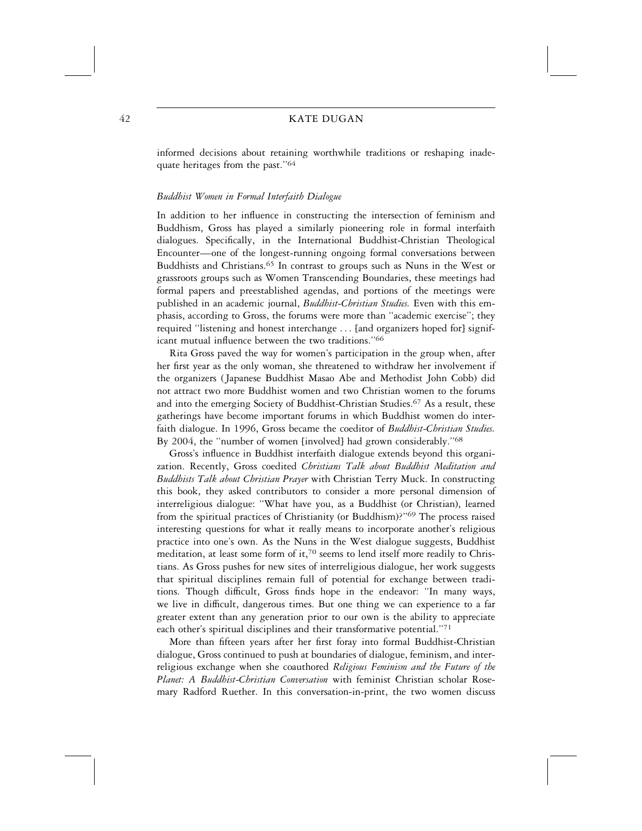informed decisions about retaining worthwhile traditions or reshaping inadequate heritages from the past.''64

#### Buddhist Women in Formal Interfaith Dialogue

In addition to her influence in constructing the intersection of feminism and Buddhism, Gross has played a similarly pioneering role in formal interfaith dialogues. Specifically, in the International Buddhist-Christian Theological Encounter—one of the longest-running ongoing formal conversations between Buddhists and Christians.65 In contrast to groups such as Nuns in the West or grassroots groups such as Women Transcending Boundaries, these meetings had formal papers and preestablished agendas, and portions of the meetings were published in an academic journal, *Buddhist-Christian Studies*. Even with this emphasis, according to Gross, the forums were more than ''academic exercise''; they required ''listening and honest interchange . . . [and organizers hoped for] significant mutual influence between the two traditions.''66

Rita Gross paved the way for women's participation in the group when, after her first year as the only woman, she threatened to withdraw her involvement if the organizers ( Japanese Buddhist Masao Abe and Methodist John Cobb) did not attract two more Buddhist women and two Christian women to the forums and into the emerging Society of Buddhist-Christian Studies.67 As a result, these gatherings have become important forums in which Buddhist women do interfaith dialogue. In 1996, Gross became the coeditor of Buddhist-Christian Studies. By 2004, the ''number of women [involved] had grown considerably.''68

Gross's influence in Buddhist interfaith dialogue extends beyond this organization. Recently, Gross coedited Christians Talk about Buddhist Meditation and Buddhists Talk about Christian Prayer with Christian Terry Muck. In constructing this book, they asked contributors to consider a more personal dimension of interreligious dialogue: ''What have you, as a Buddhist (or Christian), learned from the spiritual practices of Christianity (or Buddhism)?''69 The process raised interesting questions for what it really means to incorporate another's religious practice into one's own. As the Nuns in the West dialogue suggests, Buddhist meditation, at least some form of it,<sup>70</sup> seems to lend itself more readily to Christians. As Gross pushes for new sites of interreligious dialogue, her work suggests that spiritual disciplines remain full of potential for exchange between traditions. Though difficult, Gross finds hope in the endeavor: ''In many ways, we live in difficult, dangerous times. But one thing we can experience to a far greater extent than any generation prior to our own is the ability to appreciate each other's spiritual disciplines and their transformative potential.''71

More than fifteen years after her first foray into formal Buddhist-Christian dialogue, Gross continued to push at boundaries of dialogue, feminism, and interreligious exchange when she coauthored Religious Feminism and the Future of the Planet: A Buddhist-Christian Conversation with feminist Christian scholar Rosemary Radford Ruether. In this conversation-in-print, the two women discuss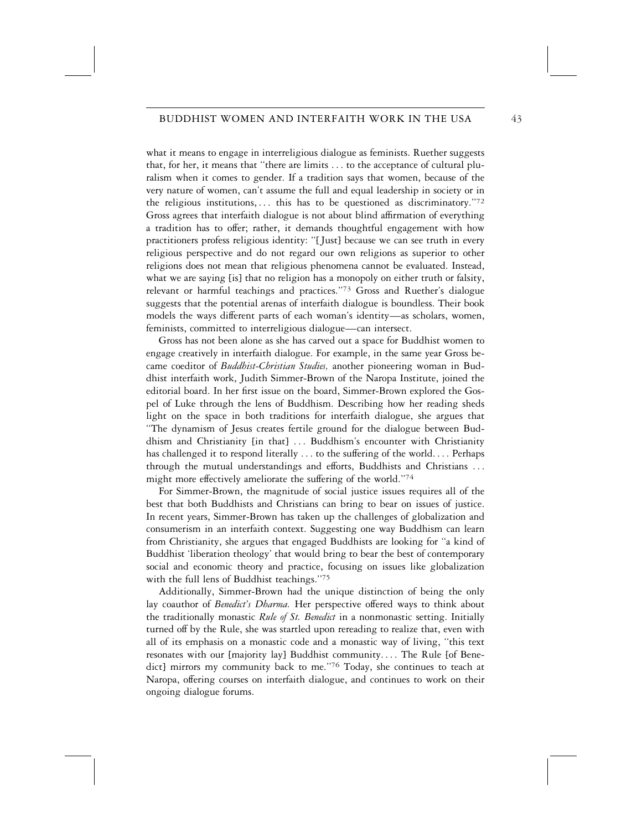what it means to engage in interreligious dialogue as feminists. Ruether suggests that, for her, it means that ''there are limits . . . to the acceptance of cultural pluralism when it comes to gender. If a tradition says that women, because of the very nature of women, can't assume the full and equal leadership in society or in the religious institutions,  $\dots$  this has to be questioned as discriminatory.<sup>"72</sup> Gross agrees that interfaith dialogue is not about blind affirmation of everything a tradition has to offer; rather, it demands thoughtful engagement with how practitioners profess religious identity: ''[ Just] because we can see truth in every religious perspective and do not regard our own religions as superior to other religions does not mean that religious phenomena cannot be evaluated. Instead, what we are saying [is] that no religion has a monopoly on either truth or falsity, relevant or harmful teachings and practices.''73 Gross and Ruether's dialogue suggests that the potential arenas of interfaith dialogue is boundless. Their book models the ways different parts of each woman's identity—as scholars, women, feminists, committed to interreligious dialogue—can intersect.

Gross has not been alone as she has carved out a space for Buddhist women to engage creatively in interfaith dialogue. For example, in the same year Gross became coeditor of *Buddhist-Christian Studies*, another pioneering woman in Buddhist interfaith work, Judith Simmer-Brown of the Naropa Institute, joined the editorial board. In her first issue on the board, Simmer-Brown explored the Gospel of Luke through the lens of Buddhism. Describing how her reading sheds light on the space in both traditions for interfaith dialogue, she argues that ''The dynamism of Jesus creates fertile ground for the dialogue between Buddhism and Christianity [in that] . . . Buddhism's encounter with Christianity has challenged it to respond literally ... to the suffering of the world.... Perhaps through the mutual understandings and efforts, Buddhists and Christians . . . might more effectively ameliorate the suffering of the world.''74

For Simmer-Brown, the magnitude of social justice issues requires all of the best that both Buddhists and Christians can bring to bear on issues of justice. In recent years, Simmer-Brown has taken up the challenges of globalization and consumerism in an interfaith context. Suggesting one way Buddhism can learn from Christianity, she argues that engaged Buddhists are looking for ''a kind of Buddhist 'liberation theology' that would bring to bear the best of contemporary social and economic theory and practice, focusing on issues like globalization with the full lens of Buddhist teachings."<sup>75</sup>

Additionally, Simmer-Brown had the unique distinction of being the only lay coauthor of Benedict's Dharma. Her perspective offered ways to think about the traditionally monastic Rule of St. Benedict in a nonmonastic setting. Initially turned off by the Rule, she was startled upon rereading to realize that, even with all of its emphasis on a monastic code and a monastic way of living, ''this text resonates with our [majority lay] Buddhist community. . . . The Rule [of Benedict] mirrors my community back to me."76 Today, she continues to teach at Naropa, offering courses on interfaith dialogue, and continues to work on their ongoing dialogue forums.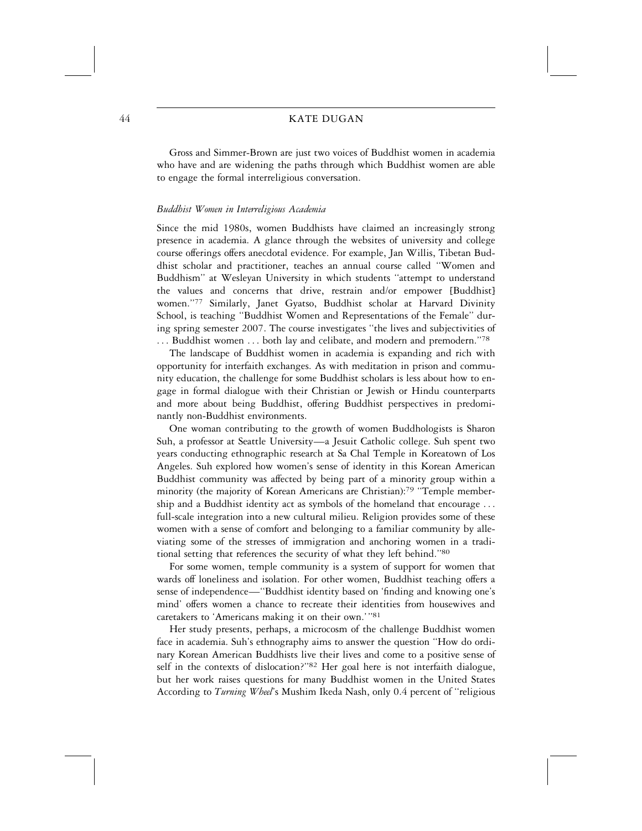Gross and Simmer-Brown are just two voices of Buddhist women in academia who have and are widening the paths through which Buddhist women are able to engage the formal interreligious conversation.

#### Buddhist Women in Interreligious Academia

Since the mid 1980s, women Buddhists have claimed an increasingly strong presence in academia. A glance through the websites of university and college course offerings offers anecdotal evidence. For example, Jan Willis, Tibetan Buddhist scholar and practitioner, teaches an annual course called ''Women and Buddhism'' at Wesleyan University in which students ''attempt to understand the values and concerns that drive, restrain and/or empower [Buddhist] women.''77 Similarly, Janet Gyatso, Buddhist scholar at Harvard Divinity School, is teaching ''Buddhist Women and Representations of the Female'' during spring semester 2007. The course investigates ''the lives and subjectivities of ... Buddhist women ... both lay and celibate, and modern and premodern."78

The landscape of Buddhist women in academia is expanding and rich with opportunity for interfaith exchanges. As with meditation in prison and community education, the challenge for some Buddhist scholars is less about how to engage in formal dialogue with their Christian or Jewish or Hindu counterparts and more about being Buddhist, offering Buddhist perspectives in predominantly non-Buddhist environments.

One woman contributing to the growth of women Buddhologists is Sharon Suh, a professor at Seattle University—a Jesuit Catholic college. Suh spent two years conducting ethnographic research at Sa Chal Temple in Koreatown of Los Angeles. Suh explored how women's sense of identity in this Korean American Buddhist community was affected by being part of a minority group within a minority (the majority of Korean Americans are Christian):79 ''Temple membership and a Buddhist identity act as symbols of the homeland that encourage . . . full-scale integration into a new cultural milieu. Religion provides some of these women with a sense of comfort and belonging to a familiar community by alleviating some of the stresses of immigration and anchoring women in a traditional setting that references the security of what they left behind.''80

For some women, temple community is a system of support for women that wards off loneliness and isolation. For other women, Buddhist teaching offers a sense of independence—''Buddhist identity based on 'finding and knowing one's mind' offers women a chance to recreate their identities from housewives and caretakers to 'Americans making it on their own.'''81

Her study presents, perhaps, a microcosm of the challenge Buddhist women face in academia. Suh's ethnography aims to answer the question ''How do ordinary Korean American Buddhists live their lives and come to a positive sense of self in the contexts of dislocation?"<sup>82</sup> Her goal here is not interfaith dialogue, but her work raises questions for many Buddhist women in the United States According to Turning Wheel's Mushim Ikeda Nash, only 0.4 percent of ''religious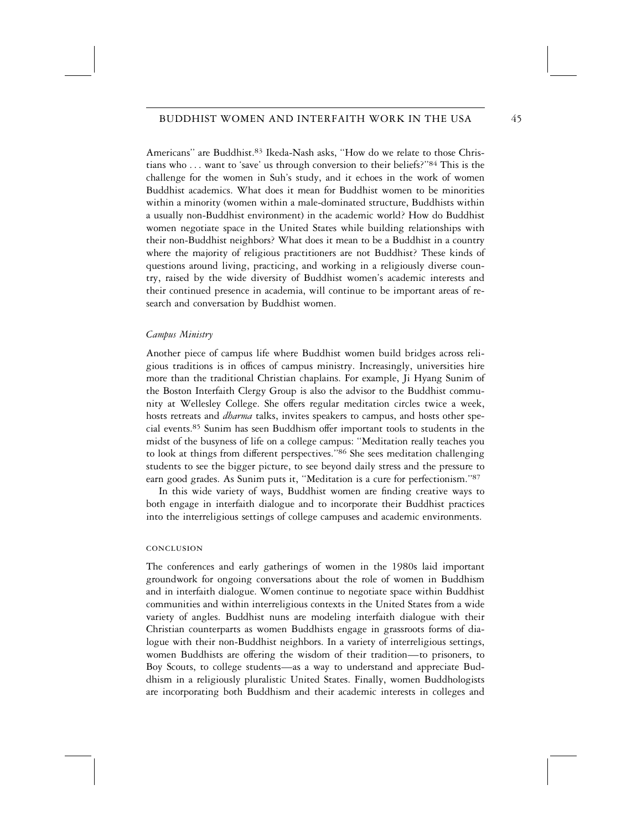Americans" are Buddhist.<sup>83</sup> Ikeda-Nash asks, "How do we relate to those Christians who . . . want to 'save' us through conversion to their beliefs?''84 This is the challenge for the women in Suh's study, and it echoes in the work of women Buddhist academics. What does it mean for Buddhist women to be minorities within a minority (women within a male-dominated structure, Buddhists within a usually non-Buddhist environment) in the academic world? How do Buddhist women negotiate space in the United States while building relationships with their non-Buddhist neighbors? What does it mean to be a Buddhist in a country where the majority of religious practitioners are not Buddhist? These kinds of questions around living, practicing, and working in a religiously diverse country, raised by the wide diversity of Buddhist women's academic interests and their continued presence in academia, will continue to be important areas of research and conversation by Buddhist women.

#### Campus Ministry

Another piece of campus life where Buddhist women build bridges across religious traditions is in offices of campus ministry. Increasingly, universities hire more than the traditional Christian chaplains. For example, Ji Hyang Sunim of the Boston Interfaith Clergy Group is also the advisor to the Buddhist community at Wellesley College. She offers regular meditation circles twice a week, hosts retreats and *dharma* talks, invites speakers to campus, and hosts other special events.85 Sunim has seen Buddhism offer important tools to students in the midst of the busyness of life on a college campus: ''Meditation really teaches you to look at things from different perspectives.''86 She sees meditation challenging students to see the bigger picture, to see beyond daily stress and the pressure to earn good grades. As Sunim puts it, ''Meditation is a cure for perfectionism.''87

In this wide variety of ways, Buddhist women are finding creative ways to both engage in interfaith dialogue and to incorporate their Buddhist practices into the interreligious settings of college campuses and academic environments.

#### conclusion

The conferences and early gatherings of women in the 1980s laid important groundwork for ongoing conversations about the role of women in Buddhism and in interfaith dialogue. Women continue to negotiate space within Buddhist communities and within interreligious contexts in the United States from a wide variety of angles. Buddhist nuns are modeling interfaith dialogue with their Christian counterparts as women Buddhists engage in grassroots forms of dialogue with their non-Buddhist neighbors. In a variety of interreligious settings, women Buddhists are offering the wisdom of their tradition—to prisoners, to Boy Scouts, to college students—as a way to understand and appreciate Buddhism in a religiously pluralistic United States. Finally, women Buddhologists are incorporating both Buddhism and their academic interests in colleges and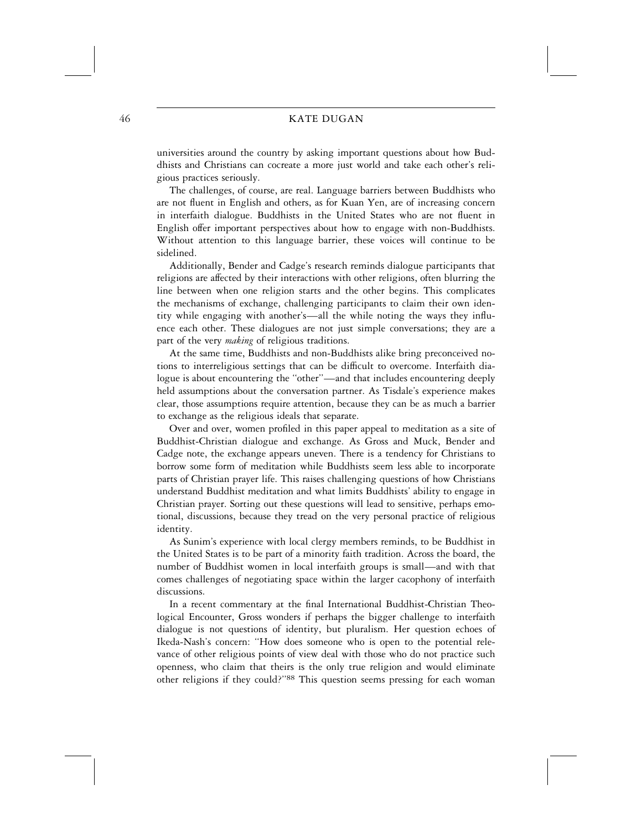universities around the country by asking important questions about how Buddhists and Christians can cocreate a more just world and take each other's religious practices seriously.

The challenges, of course, are real. Language barriers between Buddhists who are not fluent in English and others, as for Kuan Yen, are of increasing concern in interfaith dialogue. Buddhists in the United States who are not fluent in English offer important perspectives about how to engage with non-Buddhists. Without attention to this language barrier, these voices will continue to be sidelined.

Additionally, Bender and Cadge's research reminds dialogue participants that religions are affected by their interactions with other religions, often blurring the line between when one religion starts and the other begins. This complicates the mechanisms of exchange, challenging participants to claim their own identity while engaging with another's—all the while noting the ways they influence each other. These dialogues are not just simple conversations; they are a part of the very *making* of religious traditions.

At the same time, Buddhists and non-Buddhists alike bring preconceived notions to interreligious settings that can be difficult to overcome. Interfaith dialogue is about encountering the ''other''—and that includes encountering deeply held assumptions about the conversation partner. As Tisdale's experience makes clear, those assumptions require attention, because they can be as much a barrier to exchange as the religious ideals that separate.

Over and over, women profiled in this paper appeal to meditation as a site of Buddhist-Christian dialogue and exchange. As Gross and Muck, Bender and Cadge note, the exchange appears uneven. There is a tendency for Christians to borrow some form of meditation while Buddhists seem less able to incorporate parts of Christian prayer life. This raises challenging questions of how Christians understand Buddhist meditation and what limits Buddhists' ability to engage in Christian prayer. Sorting out these questions will lead to sensitive, perhaps emotional, discussions, because they tread on the very personal practice of religious identity.

As Sunim's experience with local clergy members reminds, to be Buddhist in the United States is to be part of a minority faith tradition. Across the board, the number of Buddhist women in local interfaith groups is small—and with that comes challenges of negotiating space within the larger cacophony of interfaith discussions.

In a recent commentary at the final International Buddhist-Christian Theological Encounter, Gross wonders if perhaps the bigger challenge to interfaith dialogue is not questions of identity, but pluralism. Her question echoes of Ikeda-Nash's concern: ''How does someone who is open to the potential relevance of other religious points of view deal with those who do not practice such openness, who claim that theirs is the only true religion and would eliminate other religions if they could?''88 This question seems pressing for each woman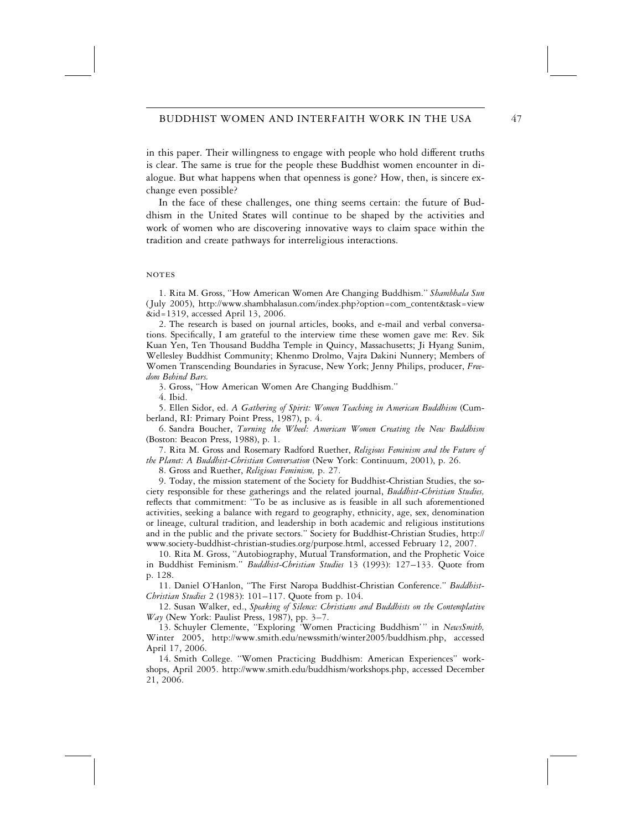in this paper. Their willingness to engage with people who hold different truths is clear. The same is true for the people these Buddhist women encounter in dialogue. But what happens when that openness is gone? How, then, is sincere exchange even possible?

In the face of these challenges, one thing seems certain: the future of Buddhism in the United States will continue to be shaped by the activities and work of women who are discovering innovative ways to claim space within the tradition and create pathways for interreligious interactions.

#### **NOTES**

1. Rita M. Gross, "How American Women Are Changing Buddhism." Shambhala Sun ( July 2005), http://www.shambhalasun.com/index.php?option=com\_content&task=view &id=1319, accessed April 13, 2006.

2. The research is based on journal articles, books, and e-mail and verbal conversations. Specifically, I am grateful to the interview time these women gave me: Rev. Sik Kuan Yen, Ten Thousand Buddha Temple in Quincy, Massachusetts; Ji Hyang Sunim, Wellesley Buddhist Community; Khenmo Drolmo, Vajra Dakini Nunnery; Members of Women Transcending Boundaries in Syracuse, New York; Jenny Philips, producer, Freedom Behind Bars.

3. Gross, ''How American Women Are Changing Buddhism.''

4. Ibid.

5. Ellen Sidor, ed. A Gathering of Spirit: Women Teaching in American Buddhism (Cumberland, RI: Primary Point Press, 1987), p. 4.

6. Sandra Boucher, Turning the Wheel: American Women Creating the New Buddhism (Boston: Beacon Press, 1988), p. 1.

7. Rita M. Gross and Rosemary Radford Ruether, Religious Feminism and the Future of the Planet: A Buddhist-Christian Conversation (New York: Continuum, 2001), p. 26.

8. Gross and Ruether, Religious Feminism, p. 27.

9. Today, the mission statement of the Society for Buddhist-Christian Studies, the society responsible for these gatherings and the related journal, Buddhist-Christian Studies, reflects that commitment: ''To be as inclusive as is feasible in all such aforementioned activities, seeking a balance with regard to geography, ethnicity, age, sex, denomination or lineage, cultural tradition, and leadership in both academic and religious institutions and in the public and the private sectors.'' Society for Buddhist-Christian Studies, http:// www.society-buddhist-christian-studies.org/purpose.html, accessed February 12, 2007.

10. Rita M. Gross, ''Autobiography, Mutual Transformation, and the Prophetic Voice in Buddhist Feminism." Buddhist-Christian Studies 13 (1993): 127-133. Quote from p. 128.

11. Daniel O'Hanlon, "The First Naropa Buddhist-Christian Conference." Buddhist-Christian Studies 2 (1983): 101–117. Quote from p. 104.

12. Susan Walker, ed., Speaking of Silence: Christians and Buddhists on the Contemplative Way (New York: Paulist Press, 1987), pp.  $3-7$ .

13. Schuyler Clemente, "Exploring 'Women Practicing Buddhism'" in NewsSmith, Winter 2005, http://www.smith.edu/newssmith/winter2005/buddhism.php, accessed April 17, 2006.

14. Smith College. ''Women Practicing Buddhism: American Experiences'' workshops, April 2005. http://www.smith.edu/buddhism/workshops.php, accessed December 21, 2006.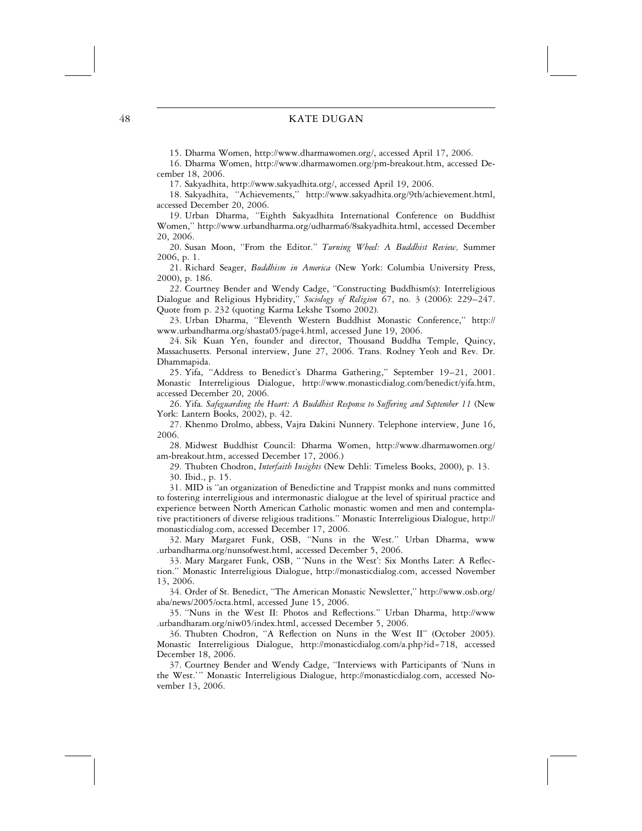15. Dharma Women, http://www.dharmawomen.org/, accessed April 17, 2006.

16. Dharma Women, http://www.dharmawomen.org/pm-breakout.htm, accessed December 18, 2006.

17. Sakyadhita, http://www.sakyadhita.org/, accessed April 19, 2006.

18. Sakyadhita, ''Achievements,'' http://www.sakyadhita.org/9th/achievement.html, accessed December 20, 2006.

19. Urban Dharma, ''Eighth Sakyadhita International Conference on Buddhist Women,'' http://www.urbandharma.org/udharma6/8sakyadhita.html, accessed December 20, 2006.

20. Susan Moon, "From the Editor." Turning Wheel: A Buddhist Review, Summer 2006, p. 1.

21. Richard Seager, *Buddhism in America* (New York: Columbia University Press, 2000), p. 186.

22. Courtney Bender and Wendy Cadge, ''Constructing Buddhism(s): Interreligious Dialogue and Religious Hybridity," Sociology of Religion 67, no. 3 (2006): 229-247. Quote from p. 232 (quoting Karma Lekshe Tsomo 2002).

23. Urban Dharma, ''Eleventh Western Buddhist Monastic Conference,'' http:// www.urbandharma.org/shasta05/page4.html, accessed June 19, 2006.

24. Sik Kuan Yen, founder and director, Thousand Buddha Temple, Quincy, Massachusetts. Personal interview, June 27, 2006. Trans. Rodney Yeoh and Rev. Dr. Dhammapida.

25. Yifa, ''Address to Benedict's Dharma Gathering,'' September 19–21, 2001. Monastic Interreligious Dialogue, http://www.monasticdialog.com/benedict/yifa.htm, accessed December 20, 2006.

26. Yifa. Safeguarding the Heart: A Buddhist Response to Suffering and September 11 (New York: Lantern Books, 2002), p. 42.

27. Khenmo Drolmo, abbess, Vajra Dakini Nunnery. Telephone interview, June 16, 2006.

28. Midwest Buddhist Council: Dharma Women, http://www.dharmawomen.org/ am-breakout.htm, accessed December 17, 2006.)

29. Thubten Chodron, Interfaith Insights (New Dehli: Timeless Books, 2000), p. 13.

30. Ibid., p. 15.

31. MID is ''an organization of Benedictine and Trappist monks and nuns committed to fostering interreligious and intermonastic dialogue at the level of spiritual practice and experience between North American Catholic monastic women and men and contemplative practitioners of diverse religious traditions.'' Monastic Interreligious Dialogue, http:// monasticdialog.com, accessed December 17, 2006.

32. Mary Margaret Funk, OSB, ''Nuns in the West.'' Urban Dharma, www .urbandharma.org/nunsofwest.html, accessed December 5, 2006.

33. Mary Margaret Funk, OSB, '' 'Nuns in the West': Six Months Later: A Reflection.'' Monastic Interreligious Dialogue, http://monasticdialog.com, accessed November 13, 2006.

34. Order of St. Benedict, ''The American Monastic Newsletter,'' http://www.osb.org/ aba/news/2005/octa.html, accessed June 15, 2006.

35. ''Nuns in the West II: Photos and Reflections.'' Urban Dharma, http://www .urbandharam.org/niw05/index.html, accessed December 5, 2006.

36. Thubten Chodron, ''A Reflection on Nuns in the West II'' (October 2005). Monastic Interreligious Dialogue, http://monasticdialog.com/a.php?id=718, accessed December 18, 2006.

37. Courtney Bender and Wendy Cadge, ''Interviews with Participants of 'Nuns in the West.'" Monastic Interreligious Dialogue, http://monasticdialog.com, accessed November 13, 2006.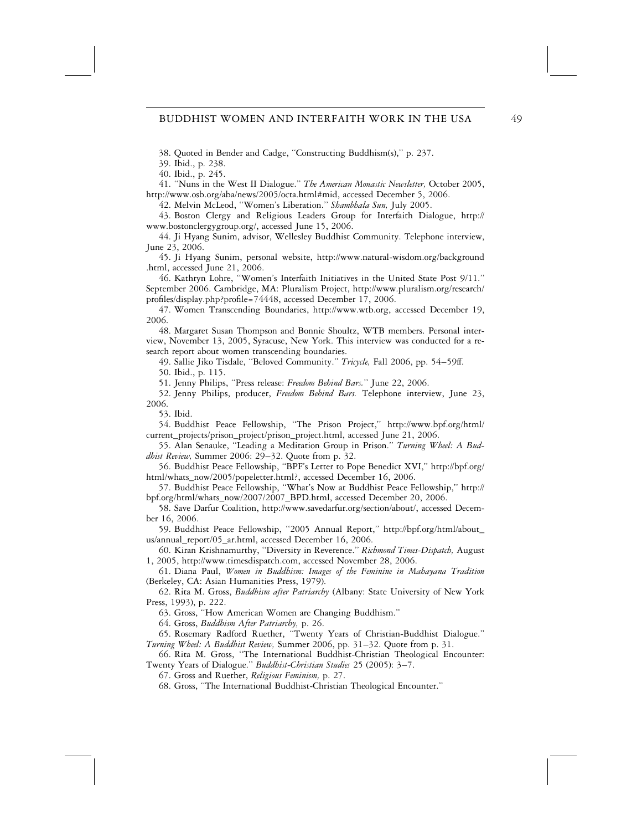#### BUDDHIST WOMEN AND INTERFAITH WORK IN THE USA  $49$

38. Quoted in Bender and Cadge, ''Constructing Buddhism(s),'' p. 237.

39. Ibid., p. 238.

40. Ibid., p. 245.

41. "Nuns in the West II Dialogue." The American Monastic Newsletter, October 2005, http://www.osb.org/aba/news/2005/octa.html#mid, accessed December 5, 2006.

42. Melvin McLeod, ''Women's Liberation.'' Shambhala Sun, July 2005.

43. Boston Clergy and Religious Leaders Group for Interfaith Dialogue, http:// www.bostonclergygroup.org/, accessed June 15, 2006.

44. Ji Hyang Sunim, advisor, Wellesley Buddhist Community. Telephone interview, June 23, 2006.

45. Ji Hyang Sunim, personal website, http://www.natural-wisdom.org/background .html, accessed June 21, 2006.

46. Kathryn Lohre, ''Women's Interfaith Initiatives in the United State Post 9/11.'' September 2006. Cambridge, MA: Pluralism Project, http://www.pluralism.org/research/ profiles/display.php?profile=74448, accessed December 17, 2006.

47. Women Transcending Boundaries, http://www.wtb.org, accessed December 19, 2006.

48. Margaret Susan Thompson and Bonnie Shoultz, WTB members. Personal interview, November 13, 2005, Syracuse, New York. This interview was conducted for a research report about women transcending boundaries.

49. Sallie Jiko Tisdale, "Beloved Community." Tricycle, Fall 2006, pp. 54–59ff.

50. Ibid., p. 115.

51. Jenny Philips, "Press release: Freedom Behind Bars." June 22, 2006.

52. Jenny Philips, producer, Freedom Behind Bars. Telephone interview, June 23, 2006.

53. Ibid.

54. Buddhist Peace Fellowship, ''The Prison Project,'' http://www.bpf.org/html/ current\_projects/prison\_project/prison\_project.html, accessed June 21, 2006.

55. Alan Senauke, ''Leading a Meditation Group in Prison.'' Turning Wheel: A Buddhist Review, Summer 2006: 29–32. Quote from p. 32.

56. Buddhist Peace Fellowship, ''BPF's Letter to Pope Benedict XVI,'' http://bpf.org/ html/whats\_now/2005/popeletter.html?, accessed December 16, 2006.

57. Buddhist Peace Fellowship, ''What's Now at Buddhist Peace Fellowship,'' http:// bpf.org/html/whats\_now/2007/2007\_BPD.html, accessed December 20, 2006.

58. Save Darfur Coalition, http://www.savedarfur.org/section/about/, accessed December 16, 2006.

59. Buddhist Peace Fellowship, ''2005 Annual Report,'' http://bpf.org/html/about\_ us/annual\_report/05\_ar.html, accessed December 16, 2006.

60. Kiran Krishnamurthy, ''Diversity in Reverence.'' Richmond Times-Dispatch, August 1, 2005, http://www.timesdispatch.com, accessed November 28, 2006.

61. Diana Paul, Women in Buddhism: Images of the Feminine in Mahayana Tradition (Berkeley, CA: Asian Humanities Press, 1979).

62. Rita M. Gross, Buddhism after Patriarchy (Albany: State University of New York Press, 1993), p. 222.

63. Gross, ''How American Women are Changing Buddhism.''

64. Gross, Buddhism After Patriarchy, p. 26.

65. Rosemary Radford Ruether, ''Twenty Years of Christian-Buddhist Dialogue.'' Turning Wheel: A Buddhist Review, Summer 2006, pp. 31–32. Quote from p. 31.

66. Rita M. Gross, ''The International Buddhist-Christian Theological Encounter: Twenty Years of Dialogue.'' Buddhist-Christian Studies 25 (2005): 3–7.

67. Gross and Ruether, Religious Feminism, p. 27.

68. Gross, ''The International Buddhist-Christian Theological Encounter.''